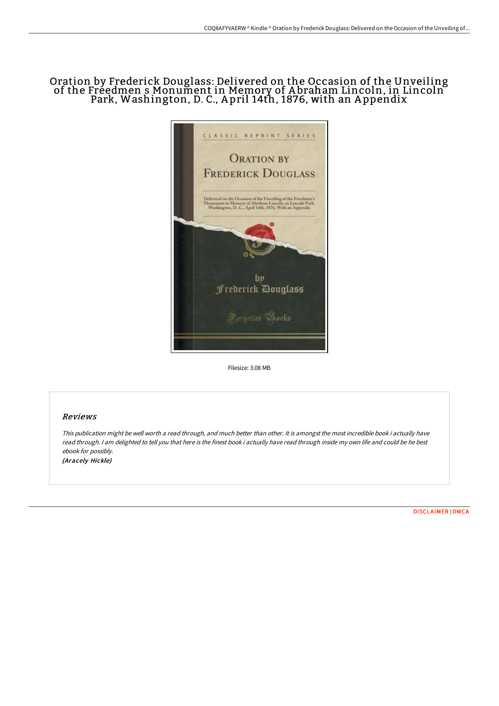## Oration by Frederick Douglass: Delivered on the Occasion of the Unveiling of the Freedmen s Monument in Memory of A braham Lincoln, in Lincoln Park, Washington, D. C., A pril 14th, 1876, with an A ppendix



Filesize: 3.08 MB

## Reviews

This publication might be well worth <sup>a</sup> read through, and much better than other. It is amongst the most incredible book i actually have read through. <sup>I</sup> am delighted to tell you that here is the finest book i actually have read through inside my own life and could be he best ebook for possibly. (Aracely Hickle)

[DISCLAIMER](http://www.bookdirs.com/disclaimer.html) | [DMCA](http://www.bookdirs.com/dmca.html)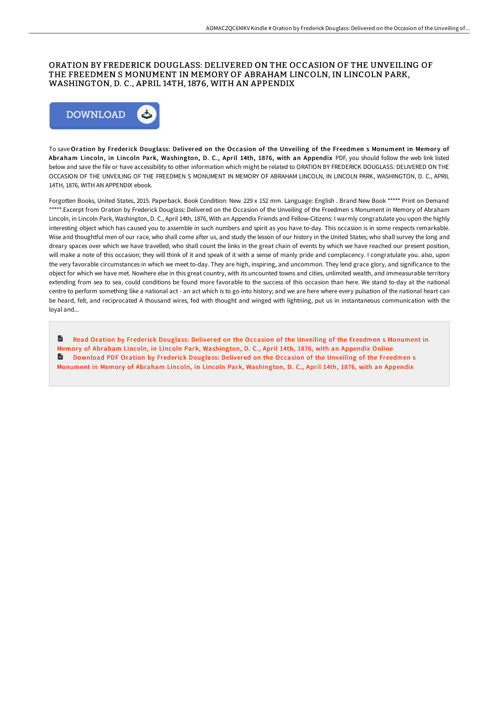### ORATION BY FREDERICK DOUGLASS: DELIVERED ON THE OCCASION OF THE UNVEILING OF THE FREEDMEN S MONUMENT IN MEMORY OF ABRAHAM LINCOLN, IN LINCOLN PARK, WASHINGTON, D. C., APRIL 14TH, 1876, WITH AN APPENDIX



To save Oration by Frederick Douglass: Delivered on the Occasion of the Unveiling of the Freedmen s Monument in Memory of Abraham Lincoln, in Lincoln Park, Washington, D. C., April 14th, 1876, with an Appendix PDF, you should follow the web link listed below and save the file or have accessibility to other information which might be related to ORATION BY FREDERICK DOUGLASS: DELIVERED ON THE OCCASION OF THE UNVEILING OF THE FREEDMEN S MONUMENT IN MEMORY OF ABRAHAM LINCOLN, IN LINCOLN PARK, WASHINGTON, D. C., APRIL 14TH, 1876, WITH AN APPENDIX ebook.

Forgotten Books, United States, 2015. Paperback. Book Condition: New. 229 x 152 mm. Language: English . Brand New Book \*\*\*\*\* Print on Demand \*\*\*\*\*.Excerpt from Oration by Frederick Douglass: Delivered on the Occasion of the Unveiling of the Freedmen s Monument in Memory of Abraham Lincoln, in Lincoln Park, Washington, D. C., April 14th, 1876, With an Appendix Friends and Fellow-Citizens: I warmly congratulate you upon the highly interesting object which has caused you to assemble in such numbers and spirit as you have to-day. This occasion is in some respects remarkable. Wise and thoughtful men of our race, who shall come after us, and study the lesson of our history in the United States; who shall survey the long and dreary spaces over which we have travelled; who shall count the links in the great chain of events by which we have reached our present position, will make a note of this occasion; they will think of it and speak of it with a sense of manly pride and complacency. I congratulate you. also, upon the very favorable circumstances in which we meet to-day. They are high, inspiring, and uncommon. They lend grace glory, and significance to the object for which we have met. Nowhere else in this great country, with its uncounted towns and cities, unlimited wealth, and immeasurable territory extending from sea to sea, could conditions be found more favorable to the success of this occasion than here. We stand to-day at the national centre to perform something like a national act - an act which is to go into history; and we are here where every pulsation of the national heart can be heard, felt, and reciprocated A thousand wires, fed with thought and winged with lightning, put us in instantaneous communication with the loyal and...

B Read Oration by Frederick Douglass: Delivered on the Occasion of the Unveiling of the Freedmen s Monument in Memory of Abraham Lincoln, in Lincoln Park, [Washington,](http://www.bookdirs.com/oration-by-frederick-douglass-delivered-on-the-o.html) D. C., April 14th, 1876, with an Appendix Online **Download PDF Oration by Frederick Douglass: Delivered on the Occasion of the Unveiling of the Freedmen s** Monument in Memory of Abraham Lincoln, in Lincoln Park, [Washington,](http://www.bookdirs.com/oration-by-frederick-douglass-delivered-on-the-o.html) D. C., April 14th, 1876, with an Appendix